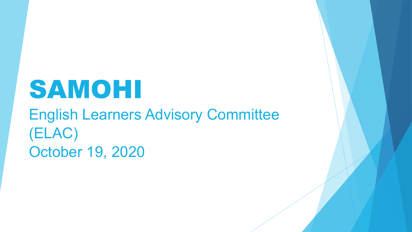# SAMOHI

### English Learners Advisory Committee (ELAC) October 19, 2020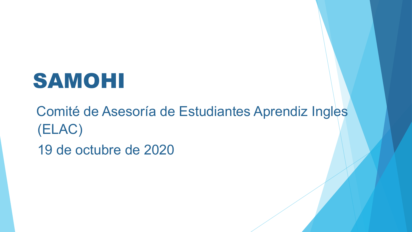# SAMOHI

Comité de Asesoría de Estudiantes Aprendiz Ingles (ELAC) 19 de octubre de 2020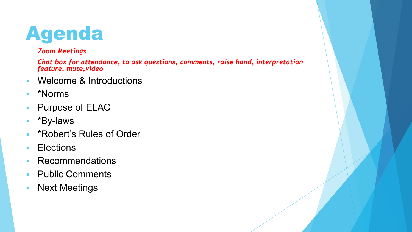## Agenda

#### *Zoom Meetings*

*Chat box for attendance, to ask questions, comments, raise hand, interpretation feature, mute,video*

- **Welcome & Introductions**
- \*Norms
- **Purpose of ELAC**
- \*By-laws
- **\* \*Robert's Rules of Order**
- **Elections**
- **Recommendations**
- **Public Comments**
- **Next Meetings**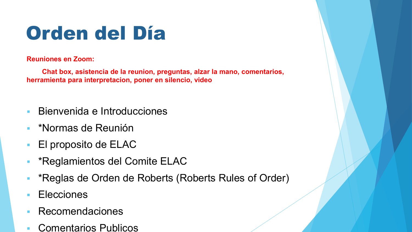# Orden del Día

**Reuniones en Zoom:** 

**Chat box, asistencia de la reunion, preguntas, alzar la mano, comentarios, herramienta para interpretacion, poner en silencio, video**

- Bienvenida e Introducciones
- **EXANORMAS de Reunión**
- El proposito de ELAC
- \*Reglamientos del Comite ELAC
- \*Reglas de Orden de Roberts (Roberts Rules of Order)
- Elecciones
- Recomendaciones
- Comentarios Publicos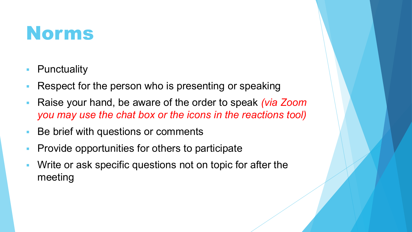### Norms

- **Punctuality**
- Respect for the person who is presenting or speaking
- Raise your hand, be aware of the order to speak *(via Zoom you may use the chat box or the icons in the reactions tool)*
- Be brief with questions or comments
- **Provide opportunities for others to participate**
- Write or ask specific questions not on topic for after the meeting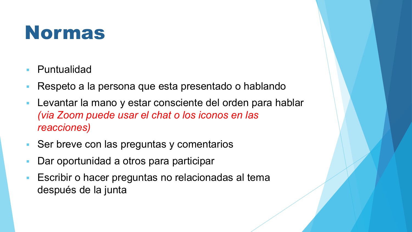### Normas

- Puntualidad
- Respeto a la persona que esta presentado o hablando
- Levantar la mano y estar consciente del orden para hablar *(via Zoom puede usar el chat o los iconos en las reacciones)*
- Ser breve con las preguntas y comentarios
- Dar oportunidad a otros para participar
- Escribir o hacer preguntas no relacionadas al tema después de la junta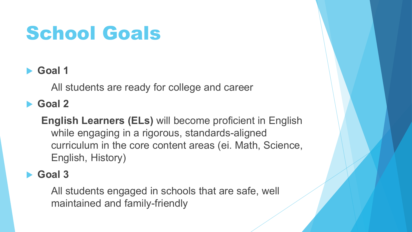# School Goals

### **Goal 1**

All students are ready for college and career

### **Goal 2**

**English Learners (ELs)** will become proficient in English while engaging in a rigorous, standards-aligned curriculum in the core content areas (ei. Math, Science, English, History)

### **Goal 3**

All students engaged in schools that are safe, well maintained and family-friendly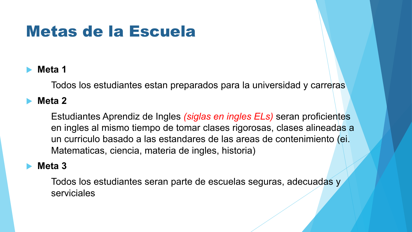### Metas de la Escuela

### **Meta 1**

Todos los estudiantes estan preparados para la universidad y carreras

### **Meta 2**

Estudiantes Aprendiz de Ingles *(siglas en ingles ELs)* seran proficientes en ingles al mismo tiempo de tomar clases rigorosas, clases alineadas a un curriculo basado a las estandares de las areas de contenimiento (ei. Matematicas, ciencia, materia de ingles, historia)

### **Meta 3**

Todos los estudiantes seran parte de escuelas seguras, adecuadas y serviciales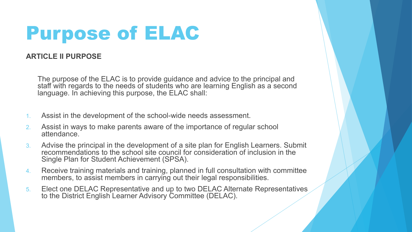## Purpose of ELAC

#### **ARTICLE II PURPOSE**

The purpose of the ELAC is to provide guidance and advice to the principal and staff with regards to the needs of students who are learning English as a second language. In achieving this purpose, the ELAC shall:

- 1. Assist in the development of the school-wide needs assessment.
- 2. Assist in ways to make parents aware of the importance of regular school attendance.
- 3. Advise the principal in the development of a site plan for English Learners. Submit recommendations to the school site council for consideration of inclusion in the Single Plan for Student Achievement (SPSA).
- 4. Receive training materials and training, planned in full consultation with committee members, to assist members in carrying out their legal responsibilities.
- 5. Elect one DELAC Representative and up to two DELAC Alternate Representatives to the District English Learner Advisory Committee (DELAC).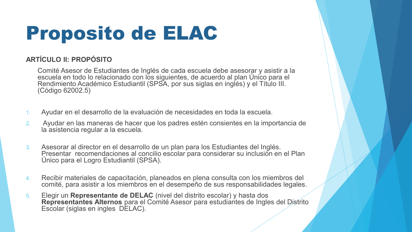# Proposito de ELAC

#### **ARTÍCULO II: PROPÓSITO**

Comité Asesor de Estudiantes de Inglés de cada escuela debe asesorar y asistir a la escuela en todo lo relacionado con los siguientes, de acuerdo al plan Único para el Rendimiento Académico Estudiantil (SPSA, por sus siglas en inglés) y el Título III. (Código 62002.5)

- 1. Ayudar en el desarrollo de la evaluación de necesidades en toda la escuela.
- 2. Ayudar en las maneras de hacer que los padres estén consientes en la importancia de la asistencia regular a la escuela.
- 3. Asesorar al director en el desarrollo de un plan para los Estudiantes del Inglés. Presentar recomendaciones al concilio escolar para considerar su inclusión en el Plan Único para el Logro Estudiantil (SPSA).
- 4. Recibir materiales de capacitación, planeados en plena consulta con los miembros del comité, para asistir a los miembros en el desempeño de sus responsabilidades legales.
- 5. Elegir un **Representante de DELAC** (nivel del distrito escolar) y hasta dos **Representantes Alternos** para el Comité Asesor para estudiantes de Ingles del Distrito Escolar (siglas en ingles DELAC).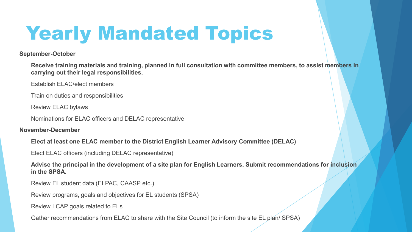# Yearly Mandated Topics

**September-October**

**Receive training materials and training, planned in full consultation with committee members, to assist members in carrying out their legal responsibilities.**

Establish ELAC/elect members

Train on duties and responsibilities

Review ELAC bylaws

Nominations for ELAC officers and DELAC representative

**November-December**

**Elect at least one ELAC member to the District English Learner Advisory Committee (DELAC)**

Elect ELAC officers (including DELAC representative)

**Advise the principal in the development of a site plan for English Learners. Submit recommendations for inclusion in the SPSA.**

Review EL student data (ELPAC, CAASP etc.)

Review programs, goals and objectives for EL students (SPSA)

Review LCAP goals related to ELs

Gather recommendations from ELAC to share with the Site Council (to inform the site EL plan/ SPSA)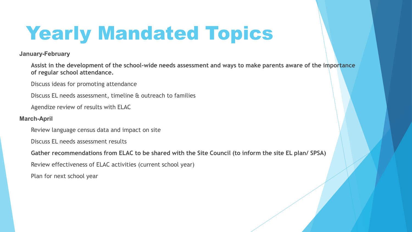# Yearly Mandated Topics

**January-February**

**Assist in the development of the school-wide needs assessment and ways to make parents aware of the importance of regular school attendance.**

Discuss ideas for promoting attendance

Discuss EL needs assessment, timeline & outreach to families

Agendize review of results with ELAC

#### **March-April**

Review language census data and impact on site

Discuss EL needs assessment results

**Gather recommendations from ELAC to be shared with the Site Council (to inform the site EL plan/ SPSA)**

Review effectiveness of ELAC activities (current school year)

Plan for next school year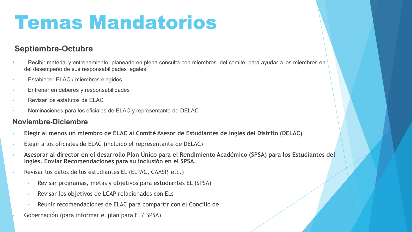## Temas Mandatorios

#### **Septiembre-Octubre**

- Recibir material y entrenamiento, planeado en plena consulta con miembros del comité, para ayudar a los miembros en del desempeño de sus responsabilidades legales.
- Establecer ELAC / miembros elegidos
- Entrenar en deberes y responsabilidades
- Revisar los estatutos de ELAC
- Nominaciones para los oficiales de ELAC y representante de DELAC

#### **Noviembre-Diciembre**

- **Elegir al menos un miembro de ELAC al Comité Asesor de Estudiantes de Inglés del Distrito (DELAC)**
- Elegir a los oficiales de ELAC (incluido el representante de DELAC)
- **Asesorar al director en el desarrollo Plan Único para el Rendimiento Académico (SPSA) para los Estudiantes del Inglés. Enviar Recomendaciones para su inclusión en el SPSA.**
- Revisar los datos de los estudiantes EL (ELPAC, CAASP, etc.)
	- Revisar programas, metas y objetivos para estudiantes EL (SPSA)
	- Revisar los objetivos de LCAP relacionados con ELs
	- Reunir recomendaciones de ELAC para compartir con el Concilio de

• Gobernación (para informar el plan para EL/ SPSA)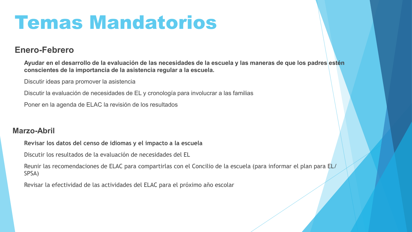## Temas Mandatorios

#### **Enero-Febrero**

**Ayudar en el desarrollo de la evaluación de las necesidades de la escuela y las maneras de que los padres estén conscientes de la importancia de la asistencia regular a la escuela.**

Discutir ideas para promover la asistencia

Discutir la evaluación de necesidades de EL y cronología para involucrar a las familias

Poner en la agenda de ELAC la revisión de los resultados

#### **Marzo-Abril**

**Revisar los datos del censo de idiomas y el impacto a la escuela**

Discutir los resultados de la evaluación de necesidades del EL

Reunir las recomendaciones de ELAC para compartirlas con el Concilio de la escuela (para informar el plan para EL/ SPSA)

Revisar la efectividad de las actividades del ELAC para el próximo año escolar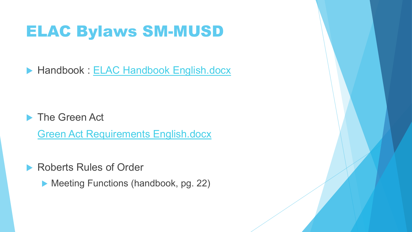### ELAC Bylaws SM-MUSD

▶ Handbook : ELAC Handbook English.docx

**The Green Act** 

Green Act Requirements English.docx

▶ Roberts Rules of Order

▶ Meeting Functions (handbook, pg. 22)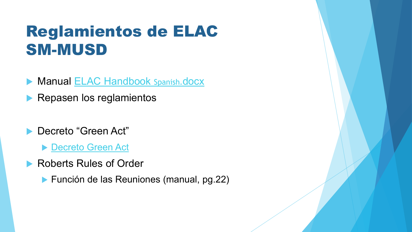### Reglamientos de ELAC SM-MUSD

- Manual ELAC Handbook Spanish.docx
- Repasen los reglamientos
- Decreto "Green Act"
	- ▶ Decreto Green Act
- ▶ Roberts Rules of Order
	- **Función de las Reuniones (manual, pg.22)**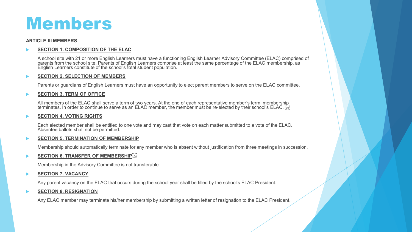### Members

#### **ARTICLE III MEMBERS**

#### **SECTION 1. COMPOSITION OF THE ELAC**

A school site with 21 or more English Learners must have a functioning English Learner Advisory Committee (ELAC) comprised of parents from the school site. Parents of English Learners comprise at least the same percentage of the ELAC membership, as English Learners constitute of the school's total student population.

#### **SECTION 2. SELECTION OF MEMBERS**

Parents or guardians of English Learners must have an opportunity to elect parent members to serve on the ELAC committee.

#### **SECTION 3. TERM OF OFFICE**

All members of the ELAC shall serve a term of two years. At the end of each representative member's term, membersh<u>ip</u> terminates. In order to continue to serve as an ELAC member, the member must be re-elected by their school's ELAC.

#### **SECTION 4. VOTING RIGHTS**

Each elected member shall be entitled to one vote and may cast that vote on each matter submitted to a vote of the ELAC. Absentee ballots shall not be permitted.

#### **SECTION 5. TERMINATION OF MEMBERSHIP**

Membership should automatically terminate for any member who is absent without justification from three meetings in succession.

#### **SECTION 6. TRANSFER OF MEMBERSHIP**

Membership in the Advisory Committee is not transferable.

#### **SECTION 7. VACANCY**

Any parent vacancy on the ELAC that occurs during the school year shall be filled by the school's ELAC President.

#### **SECTION 8. RESIGNATION**

Any ELAC member may terminate his/her membership by submitting a written letter of resignation to the ELAC President.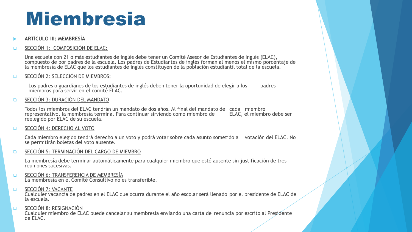## Miembresia

**ARTÍCULO III: MEMBRESÍA**

#### SECCIÓN 1: COMPOSICIÓN DE ELAC:

Una escuela con 21 o más estudiantes de inglés debe tener un Comité Asesor de Estudiantes de Inglés (ELAC), compuesto de por padres de la escuela. Los padres de Estudiantes de inglés forman al menos el mismo porcentaje de la membresía de ELAC que los estudiantes de inglés constituyen de la población estudiantil total de la escuela.

SECCIÓN 2: SELECCIÓN DE MIEMBROS:

Los padres o guardianes de los estudiantes de inglés deben tener la oportunidad de elegir a los padres miembros para servir en el comité ELAC.

**EL SECCIÓN 3: DURACIÓN DEL MANDATO** 

Todos los miembros del ELAC tendrán un mandato de dos años. Al final del mandato de cada miembro representativo, la membresía termina. Para continuar sirviendo como miembro de reelegido por ELAC de su escuela.

SECCIÓN 4: DERECHO AL VOTO

Cada miembro elegido tendrá derecho a un voto y podrá votar sobre cada asunto sometido a votación del ELAC. No se permitirán boletas del voto ausente.

**EN SECCIÓN 5: TERMINACIÓN DEL CARGO DE MIEMBRO** 

La membresía debe terminar automáticamente para cualquier miembro que esté ausente sin justificación de tres reuniones sucesivas.

- **DECCIÓN 6: TRANSFERENCIA DE MEMBRESÍA** La membresía en el Comité Consultivo no es transferible.
- **D** SECCIÓN 7: VACANTE

Cualquier vacancia de padres en el ELAC que ocurra durante el año escolar será llenado por el presidente de ELAC de la escuela.

**ELECCIÓN 8: RESIGNACIÓN** 

Cualquier miembro de ELAC puede cancelar su membresía enviando una carta de renuncia por escrito al Presidente  $de$  FLAC.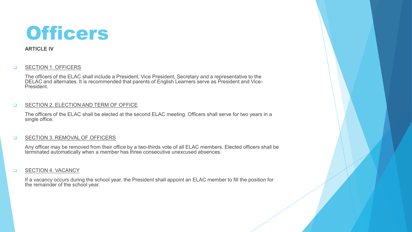

#### **ARTICLE IV**

#### **Q** SECTION 1. OFFICERS

The officers of the ELAC shall include a President, Vice President, Secretary and a representative to the DELAC and alternates. It is recommended that parents of English Learners serve as President and Vice-<br>President.

#### **Q SECTION 2. ELECTION AND TERM OF OFFICE**

The officers of the ELAC shall be elected at the second ELAC meeting. Officers shall serve for two years in a single office.

#### **G** SECTION 3. REMOVAL OF OFFICERS

Any officer may be removed from their office by a two-thirds vote of all ELAC members. Elected officers shall be terminated automatically when a member has three consecutive unexcused absences.

#### **D** SECTION 4. VACANCY

If a vacancy occurs during the school year, the President shall appoint an ELAC member to fill the position for the remainder of the school year.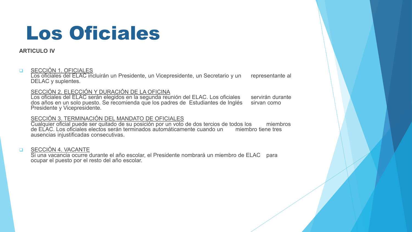## Los Oficiales

#### **ARTICULO IV**

#### **Q** SECCIÓN 1. OFICIALES

Los oficiales del ELAC incluirán un Presidente, un Vicepresidente, un Secretario y un representante al DELAC y suplentes.

#### SECCIÓN 2. ELECCIÓN Y DURACIÓN DE LA OFICINA

Los oficiales del ELAC serán elegidos en la segunda reunión del ELAC. Los oficiales servirán durante dos años en un solo puesto. Se recomienda que los padres de Estudiantes de Inglés sirvan como Presidente y Vicepresidente.

#### SECCIÓN 3. TERMINACIÓN DEL MANDATO DE OFICIALES

Cualquier oficial puede ser quitado de su posición por un voto de dos tercios de todos los miembros de ELAC. Los oficiales electos serán terminados automáticamente cuando un miembro tiene tres ausencias injustificadas consecutivas.

#### **BECCIÓN 4. VACANTE**

Si una vacancia ocurre durante el año escolar, el Presidente nombrará un miembro de ELAC para ocupar el puesto por el resto del año escolar.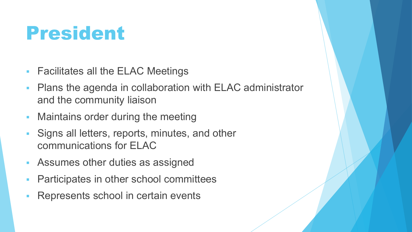## President

- **Facilitates all the ELAC Meetings**
- Plans the agenda in collaboration with ELAC administrator and the community liaison
- **Maintains order during the meeting**
- Signs all letters, reports, minutes, and other communications for ELAC
- Assumes other duties as assigned
- Participates in other school committees
- Represents school in certain events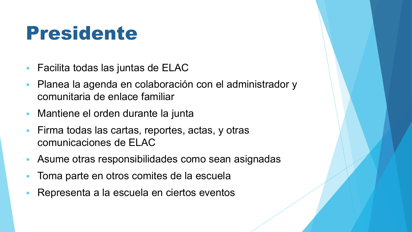## Presidente

- Facilita todas las juntas de ELAC
- Planea la agenda en colaboración con el administrador y comunitaria de enlace familiar
- Mantiene el orden durante la junta
- Firma todas las cartas, reportes, actas, y otras comunicaciones de ELAC
- Asume otras responsibilidades como sean asignadas
- Toma parte en otros comites de la escuela
- Representa a la escuela en ciertos eventos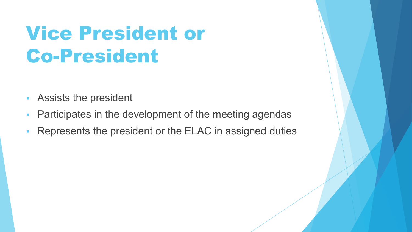# Vice President or Co-President

- Assists the president
- **Participates in the development of the meeting agendas**
- Represents the president or the ELAC in assigned duties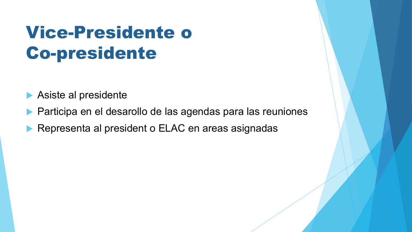### Vice-Presidente o Co-presidente

Asiste al presidente

- Participa en el desarollo de las agendas para las reuniones
- Representa al president o ELAC en areas asignadas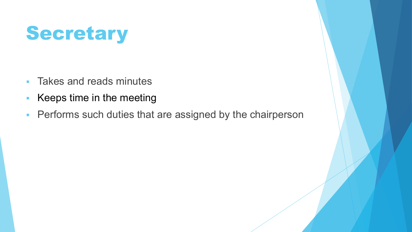# **Secretary**

- **Takes and reads minutes**
- Keeps time in the meeting
- **Performs such duties that are assigned by the chairperson**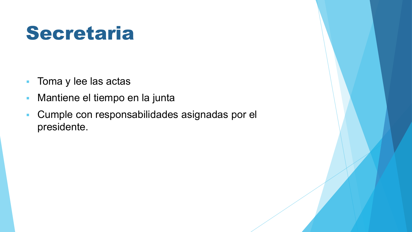## Secretaria

- **Toma y lee las actas**
- **Mantiene el tiempo en la junta**
- Cumple con responsabilidades asignadas por el presidente.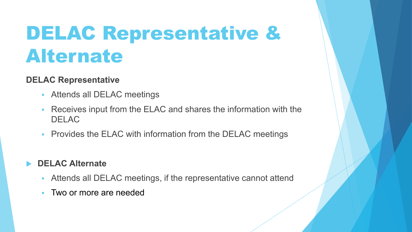## DELAC Representative & Alternate

### **DELAC Representative**

- Attends all DELAC meetings
- Receives input from the ELAC and shares the information with the DELAC
- **Provides the ELAC with information from the DELAC meetings**

### **DELAC Alternate**

- Attends all DELAC meetings, if the representative cannot attend
- **Two or more are needed**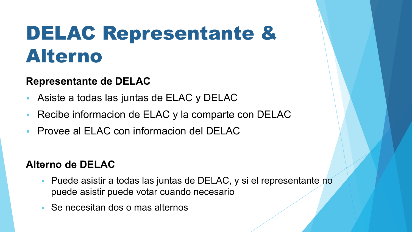## DELAC Representante & Alterno

### **Representante de DELAC**

- Asiste a todas las juntas de ELAC y DELAC
- Recibe informacion de ELAC y la comparte con DELAC
- Provee al ELAC con informacion del DELAC

### **Alterno de DELAC**

- Puede asistir a todas las juntas de DELAC, y si el representante no puede asistir puede votar cuando necesario
- Se necesitan dos o mas alternos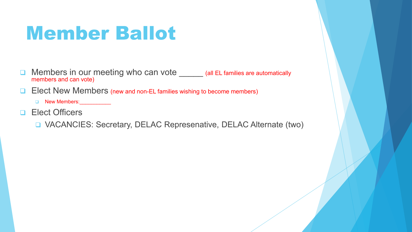## Member Ballot

- **Q** Members in our meeting who can vote \_\_\_\_\_ (all EL families are automatically members and can vote)
- **Elect New Members (new and non-EL families wishing to become members)** 
	- New Members:\_\_\_\_\_\_\_\_\_\_\_
- **D** Elect Officers
	- VACANCIES: Secretary, DELAC Represenative, DELAC Alternate (two)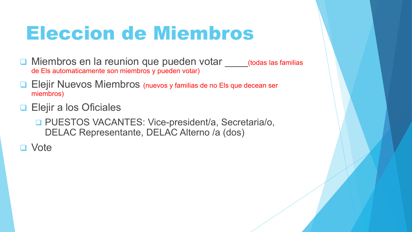## Eleccion de Miembros

- □ Miembros en la reunion que pueden votar (todas las familias de Els automaticamente son miembros y pueden votar)
- **Elejir Nuevos Miembros (nuevos y familias de no Els que decean ser** miembros)
- **Elejir a los Oficiales** 
	- □ PUESTOS VACANTES: Vice-president/a, Secretaria/o, DELAC Representante, DELAC Alterno /a (dos)
- □ Vote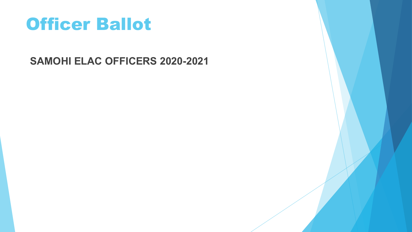### Officer Ballot

**SAMOHI ELAC OFFICERS 2020-2021**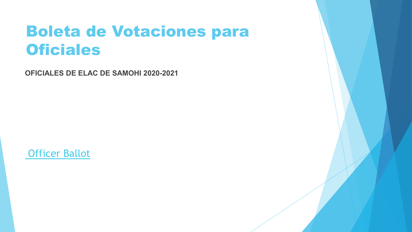### Boleta de Votaciones para **Oficiales**

**OFICIALES DE ELAC DE SAMOHI 2020-2021**

Officer Ballot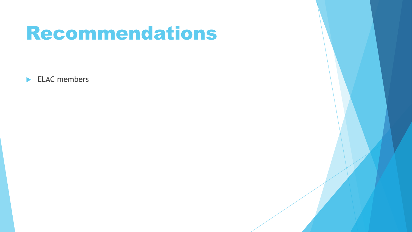### Recommendations

ELAC members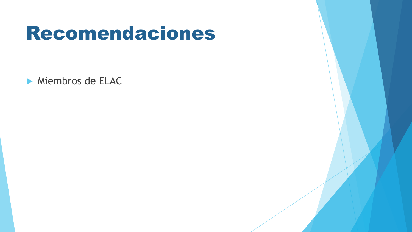### Recomendaciones

Miembros de ELAC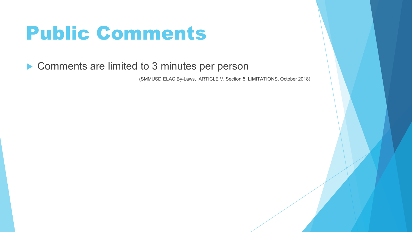## Public Comments

### ▶ Comments are limited to 3 minutes per person

(SMMUSD ELAC By-Laws, ARTICLE V, Section 5, LIMITATIONS, October 2018)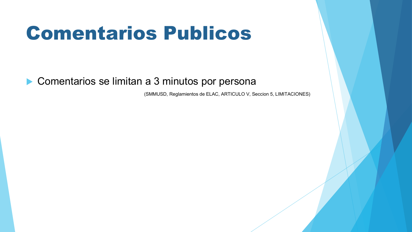## Comentarios Publicos

Comentarios se limitan a 3 minutos por persona

(SMMUSD, Reglamientos de ELAC, ARTICULO V, Seccion 5, LIMITACIONES)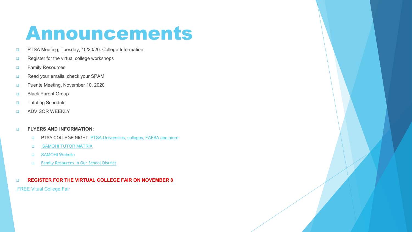## Announcements

- **D** PTSA Meeting, Tuesday, 10/20/20: College Information
- Register for the virtual college workshops
- **D** Family Resources
- Read your emails, check your SPAM
- **Puente Meeting, November 10, 2020**
- **Black Parent Group**
- **D** Tutoting Schedule
- **Q** ADVISOR WEEKLY

#### **ELYERS AND INFORMATION:**

- **D** PTSA COLLEGE NIGHT PTSA: Universities, colleges, FAFSA and more
- **G** SAMOHI TUTOR MATRIX
- **GAMOHI Website**
- [Family Resources In Our School District](https://www.smmusd.org/domain/4183)

#### **REGISTER FOR THE VIRTUAL COLLEGE FAIR ON NOVEMBER 8**

**[FREE Vitual](https://www.nacacfairs.org/attend/attend-virtual-college-fairs/students/) College Fair**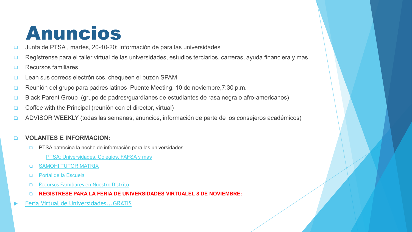### Anuncios

- □ Junta de PTSA, martes, 20-10-20: Información de para las universidades
- Regístrense para el taller virtual de las universidades, estudios terciarios, carreras, ayuda financiera y mas
- **D** Recursos familiares
- Lean sus correos electrónicos, chequeen el buzón SPAM
- Reunión del grupo para padres latinos Puente Meeting, 10 de noviembre, 7:30 p.m.
- □ Black Parent Group (grupo de padres/guardianes de estudiantes de rasa negra o afro-americanos)
- □ Coffee with the Principal (reunión con el director, virtual)
- ADVISOR WEEKLY (todas las semanas, anuncios, información de parte de los consejeros académicos)

#### **VOLANTES E INFORMACION:**

- **D** PTSA patrocina la noche de información para las universidades:
	- PTSA: Universidades, Colegios, FAFSA y mas
- **G** SAMOHI TUTOR MATRIX
- D [Portal de la Escuela](https://www.smmusd.org/samohi)
- □ [Recursos Familiares en Nuestro Distrito](https://www.smmusd.org/domain/4183)
- **REGISTRESE PARA LA FERIA DE UNIVERSIDADES VIRTUALEL 8 DE NOVIEMBRE:**
- [Feria Virtual de Universidades...GRATIS](https://www.nacacfairs.org/attend/attend-virtual-college-fairs/students/)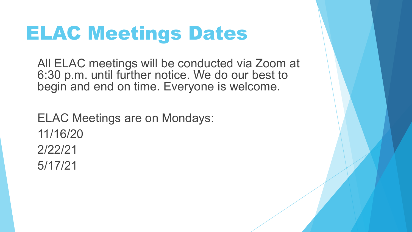## ELAC Meetings Dates

All ELAC meetings will be conducted via Zoom at 6:30 p.m. until further notice. We do our best to begin and end on time. Everyone is welcome.

ELAC Meetings are on Mondays: 11/16/20 2/22/21 5/17/21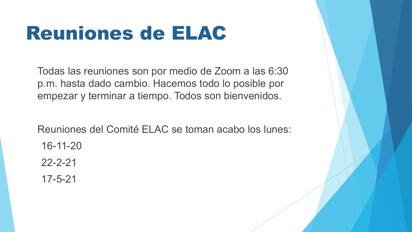## Reuniones de ELAC

Todas las reuniones son por medio de Zoom a las 6:30 p.m. hasta dado cambio. Hacemos todo lo posible por empezar y terminar a tiempo. Todos son bienvenidos.

Reuniones del Comité ELAC se toman acabo los lunes: 16-11-20

22-2-21

17-5-21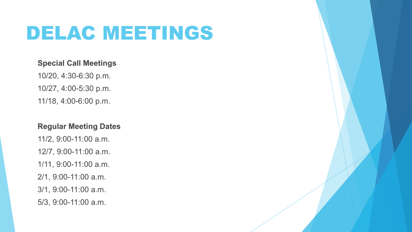## DELAC MEETINGS

#### **Special Call Meetings**

10/20, 4:30-6:30 p.m. 10/27, 4:00-5:30 p.m. 11/18, 4:00-6:00 p.m.

#### **Regular Meeting Dates**

11/2, 9:00-11:00 a.m. 12/7, 9:00-11:00 a.m. 1/11, 9:00-11:00 a.m. 2/1, 9:00-11:00 a.m. 3/1, 9:00-11:00 a.m. 5/3, 9:00-11:00 a.m.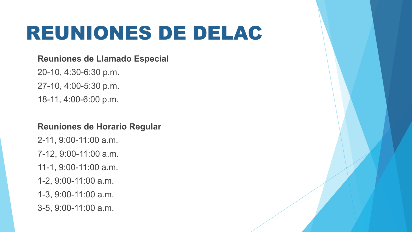## REUNIONES DE DELAC

#### **Reuniones de Llamado Especial**

20-10, 4:30-6:30 p.m. 27-10, 4:00-5:30 p.m. 18-11, 4:00-6:00 p.m.

#### **Reuniones de Horario Regular**

- 2-11, 9:00-11:00 a.m.
- 7-12, 9:00-11:00 a.m.
- 11-1, 9:00-11:00 a.m.
- 1-2, 9:00-11:00 a.m.
- 1-3, 9:00-11:00 a.m.
- 3-5, 9:00-11:00 a.m.